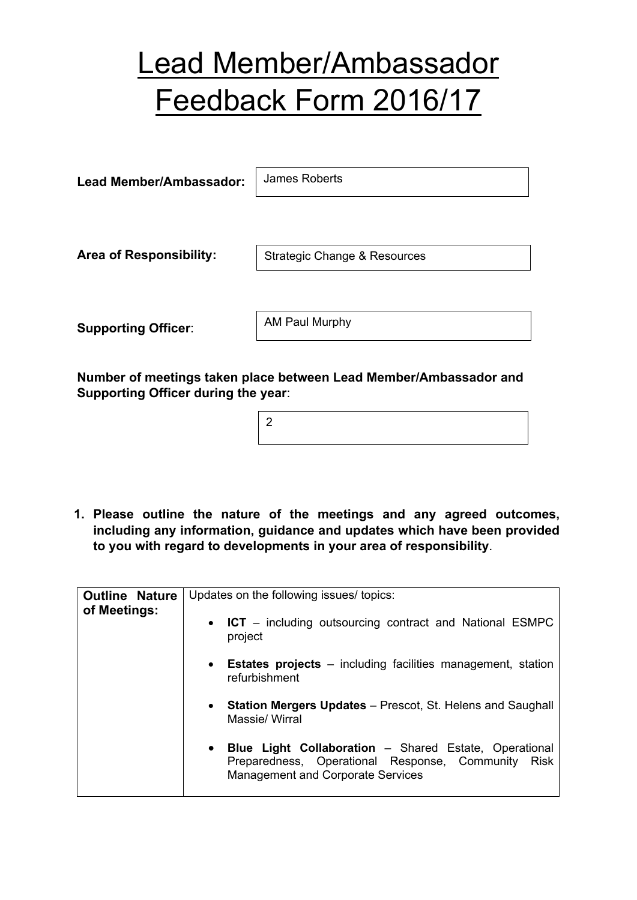## Lead Member/Ambassador Feedback Form 2016/17

| Lead Member/Ambassador:        | James Roberts                |  |  |
|--------------------------------|------------------------------|--|--|
|                                |                              |  |  |
| <b>Area of Responsibility:</b> | Strategic Change & Resources |  |  |
|                                |                              |  |  |
| <b>Supporting Officer:</b>     | AM Paul Murphy               |  |  |

**Number of meetings taken place between Lead Member/Ambassador and Supporting Officer during the year**:

**1. Please outline the nature of the meetings and any agreed outcomes, including any information, guidance and updates which have been provided to you with regard to developments in your area of responsibility**.

| <b>Outline Nature</b><br>of Meetings: | Updates on the following issues/ topics:                                                                                                                     |  |  |  |
|---------------------------------------|--------------------------------------------------------------------------------------------------------------------------------------------------------------|--|--|--|
|                                       | • ICT – including outsourcing contract and National ESMPC<br>project                                                                                         |  |  |  |
|                                       | • Estates projects – including facilities management, station<br>refurbishment                                                                               |  |  |  |
|                                       | • Station Mergers Updates - Prescot, St. Helens and Saughall<br>Massie/ Wirral                                                                               |  |  |  |
|                                       | • Blue Light Collaboration - Shared Estate, Operational<br>Preparedness, Operational Response, Community<br><b>Risk</b><br>Management and Corporate Services |  |  |  |